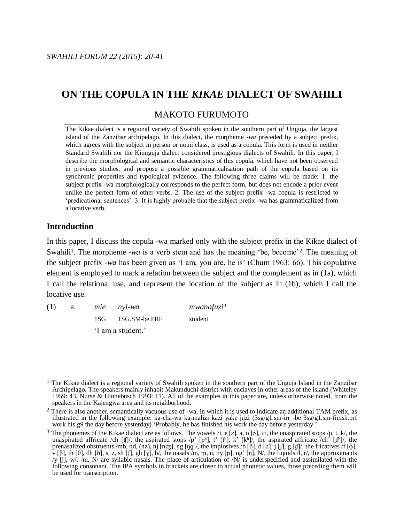# MAKOTO FURUMOTO

The Kikae dialect is a regional variety of Swahili spoken in the southern part of Unguja, the largest island of the Zanzibar archipelago. In this dialect, the morpheme -*wa* preceded by a subject prefix, which agrees with the subject in person or noun class, is used as a copula. This form is used in neither Standard Swahili nor the Kiunguja dialect considered prestigious dialects of Swahili. In this paper, I describe the morphological and semantic characteristics of this copula, which have not been observed in previous studies, and propose a possible grammaticalisation path of the copula based on its synchronic properties and typological evidence. The following three claims will be made: 1. the subject prefix -wa morphologically corresponds to the perfect form, but does not encode a prior event unlike the perfect form of other verbs. 2. The use of the subject prefix -wa copula is restricted to 'predicational sentences'. 3. It is highly probable that the subject prefix -wa has grammaticalized from a locative verb.

# **Introduction**

 $\overline{a}$ 

In this paper, I discuss the copula -wa marked only with the subject prefix in the Kikae dialect of Swahili<sup>1</sup>. The morpheme -wa is a verb stem and has the meaning 'be, become'<sup>2</sup>. The meaning of the subject prefix -*wa* has been given as 'I am, you are, he is' (Chum 1963: 66). This copulative element is employed to mark a relation between the subject and the complement as in (1a), which I call the relational use, and represent the location of the subject as in (1b), which I call the locative use.

(1) a. *mie nyi-wa mwanafuzi*<sup>3</sup> 1SG 1SG.SM-be.PRF student 'I am a student.'

<sup>&</sup>lt;sup>1</sup> The Kikae dialect is a regional variety of Swahili spoken in the southern part of the Unguja Island in the Zanzibar Archipelago. The speakers mainly inhabit Makunduchi district with enclaves in other areas of the island (Whiteley 1959: 43, Nurse & Hinnebusch 1993: 11). All of the examples in this paper are, unless otherwise noted, from the speakers in the Kajengwa area and its neighborhood.

 $2$  There is also another, semantically vacuous use of -wa, in which it is used to indicate an additional TAM prefix, as illustrated in the following example: ka-cha-wa ka-malizi kazi yake juzi (3sg/g1.sm-irr -be 3sg/g1.sm-finish.prf work his.g9 the day before yesterday) 'Probably, he has finished his work the day before yesterday.'

<sup>&</sup>lt;sup>3</sup> The phonemes of the Kikae dialect are as follows. The vowels /i, e [ɛ], a, o [ɔ], u/, the unaspirated stops /p, t, k/, the unaspirated affricate /ch [ʧ]/, the aspirated stops /p' [pʰ], t' [tʰ], k' [kʰ]/, the aspirated affricate  $\overline{C}$ (hʰ]/, the prenasalized obstruents /mb, nd, (nz), nj [nʤ], ng [ŋɡ]/, the implosives /b [ $\delta$ ], d [d], j [ $\iint$ ], g [ɡ]/, the fricatives /f [ $\phi$ ], v [β], th [θ], dh [ð], s, z, sh [ʃ], gh [ɣ], h/, the nasals /m, m, n, ny [ɲ], ng' [ŋ], N/, the liquids /l, r/, the approximants /y [j], w/. /m, N/ are syllabic nasals. The place of articulation of  $/N/$  is underspecified and assimilated with the following consonant. The IPA symbols in brackets are closer to actual phonetic values, those preceding them will be used for transcription.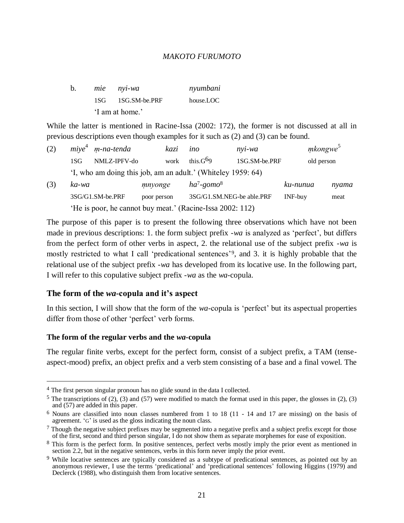| b. | mie nyi-wa        | nyumbani  |
|----|-------------------|-----------|
|    | 1SG 1SG.SM-be.PRF | house.LOC |
|    | 'I am at home.'   |           |

While the latter is mentioned in Racine-Issa (2002: 172), the former is not discussed at all in previous descriptions even though examples for it such as (2) and (3) can be found.

| (2) |                 | $mive4$ m-na-tenda                                           | kazi        | ino                       | $n$ vi-wa     | mkongwe <sup>5</sup> |       |
|-----|-----------------|--------------------------------------------------------------|-------------|---------------------------|---------------|----------------------|-------|
|     | 1S <sub>G</sub> | NMLZ-IPFV-do                                                 | work        | this. $G^{69}$            | 1SG.SM-be.PRF | old person           |       |
|     |                 | 'I, who am doing this job, am an adult.' (Whiteley 1959: 64) |             |                           |               |                      |       |
| (3) | ka-wa           |                                                              | mnyonge     | $ha^7$ -gomo <sup>8</sup> |               | ku-nunua             | nyama |
|     |                 | 3SG/G1.SM-be.PRF                                             | poor person | 3SG/G1.SM.NEG-be able.PRF |               | INF-buy              | meat  |
|     |                 | 'He is poor, he cannot buy meat.' (Racine-Issa 2002: 112)    |             |                           |               |                      |       |

The purpose of this paper is to present the following three observations which have not been made in previous descriptions: 1. the form subject prefix -*wa* is analyzed as 'perfect', but differs from the perfect form of other verbs in aspect, 2. the relational use of the subject prefix -*wa* is mostly restricted to what I call 'predicational sentences'<sup>9</sup> , and 3. it is highly probable that the relational use of the subject prefix -*wa* has developed from its locative use. In the following part, I will refer to this copulative subject prefix -*wa* as the *wa*-copula.

# **The form of the** *wa***-copula and it's aspect**

In this section, I will show that the form of the *wa*-copula is 'perfect' but its aspectual properties differ from those of other 'perfect' verb forms.

## **The form of the regular verbs and the** *wa***-copula**

 $\overline{a}$ 

The regular finite verbs, except for the perfect form, consist of a subject prefix, a TAM (tenseaspect-mood) prefix, an object prefix and a verb stem consisting of a base and a final vowel. The

<sup>4</sup> The first person singular pronoun has no glide sound in the data I collected.

<sup>&</sup>lt;sup>5</sup> The transcriptions of (2), (3) and (57) were modified to match the format used in this paper, the glosses in (2), (3) and (57) are added in this paper.

<sup>6</sup> Nouns are classified into noun classes numbered from 1 to 18 (11 - 14 and 17 are missing) on the basis of agreement. 'G' is used as the gloss indicating the noun class.

 $7$  Though the negative subject prefixes may be segmented into a negative prefix and a subject prefix except for those of the first, second and third person singular, I do not show them as separate morphemes for ease of exposition.

<sup>8</sup> This form is the perfect form. In positive sentences, perfect verbs mostly imply the prior event as mentioned in section 2.2, but in the negative sentences, verbs in this form never imply the prior event.

<sup>&</sup>lt;sup>9</sup> While locative sentences are typically considered as a subtype of predicational sentences, as pointed out by an anonymous reviewer, I use the terms 'predicational' and 'predicational sentences' following Higgins (1979) and Declerck (1988), who distinguish them from locative sentences.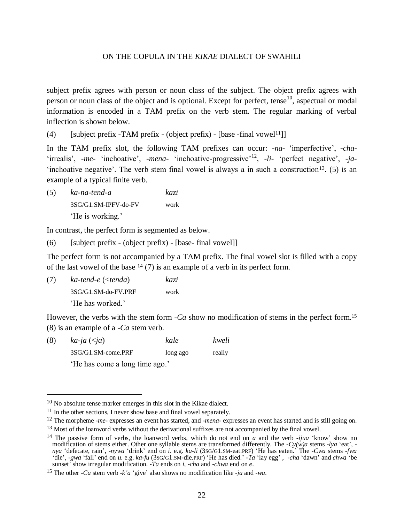subject prefix agrees with person or noun class of the subject. The object prefix agrees with person or noun class of the object and is optional. Except for perfect, tense<sup>10</sup>, aspectual or modal information is encoded in a TAM prefix on the verb stem. The regular marking of verbal inflection is shown below.

(4) [subject prefix -TAM prefix - (object prefix) - [base -final vowel<sup>11</sup>]]

In the TAM prefix slot, the following TAM prefixes can occur: -*na*- 'imperfective', -*cha*- 'irrealis', -me- 'inchoative', -mena- 'inchoative-progressive'<sup>12</sup>, -li- 'perfect negative', -ja-'inchoative negative'. The verb stem final vowel is always a in such a construction<sup>13</sup>. (5) is an example of a typical finite verb.

(5) *ka-na-tend-a kazi* 3SG/G1.SM-IPFV-do-FV work 'He is working.'

In contrast, the perfect form is segmented as below.

 $(6)$  [subject prefix - (object prefix) - [base- final vowel]]

The perfect form is not accompanied by a TAM prefix. The final vowel slot is filled with a copy of the last vowel of the base  $14$  (7) is an example of a verb in its perfect form.

(7) *ka-tend-e* (<*tenda*) *kazi* 3SG/G1.SM-do-FV.PRF work 'He has worked.'

 $\overline{a}$ 

However, the verbs with the stem form *-Ca* show no modification of stems in the perfect form. 15 (8) is an example of a -*Ca* stem verb.

| (8) | $ka$ -ja $(\leq ja)$           | kale     | kweli  |
|-----|--------------------------------|----------|--------|
|     | 3SG/G1.SM-come.PRF             | long ago | really |
|     | 'He has come a long time ago.' |          |        |

<sup>&</sup>lt;sup>10</sup> No absolute tense marker emerges in this slot in the Kikae dialect.

<sup>&</sup>lt;sup>11</sup> In the other sections, I never show base and final vowel separately.

<sup>12</sup> The morpheme *-me-* expresses an event has started, and *-mena-* expresses an event has started and is still going on.

<sup>&</sup>lt;sup>13</sup> Most of the loanword verbs without the derivational suffixes are not accompanied by the final vowel.

<sup>14</sup> The passive form of verbs, the loanword verbs, which do not end on *a* and the verb *-ijua* 'know' show no modification of stems either. Other one syllable stems are transformed differently. The *-Cy(w)a* stems *-lya* 'eat',  *nya* 'defecate, rain', *-nywa* 'drink' end on *i*. e.g. *ka-li* (3SG/G1.SM-eat.PRF) 'He has eaten.' The *-Cwa* stems *-fwa* 'die', *-gwa* 'fall' end on *u*. e.g. *ka-fu* (3SG/G1.SM-die.PRF) 'He has died.' *-Ta* 'lay egg' , *-cha* 'dawn' and *chwa* 'be sunset' show irregular modification. *-Ta* ends on *i*, *-cha* and *-chwa* end on *e*.

<sup>15</sup> The other *-Ca* stem verb *-k'a* 'give' also shows no modification like *-ja* and *-wa*.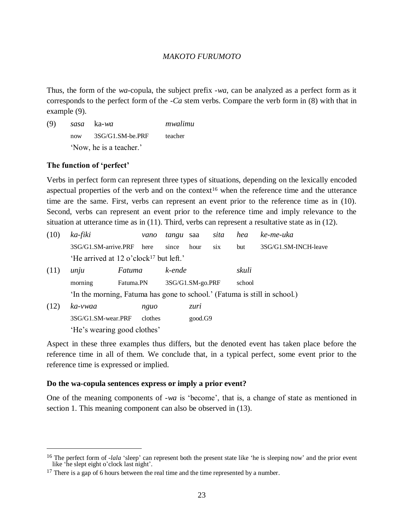Thus, the form of the *wa*-copula, the subject prefix -*wa*, can be analyzed as a perfect form as it corresponds to the perfect form of the -*Ca* stem verbs. Compare the verb form in (8) with that in example (9).

| (9) | sasa ka-wa              | mwalimu |
|-----|-------------------------|---------|
|     | now 3SG/G1.SM-be.PRF    | teacher |
|     | 'Now, he is a teacher.' |         |

# **The function of 'perfect'**

 $\overline{a}$ 

Verbs in perfect form can represent three types of situations, depending on the lexically encoded aspectual properties of the verb and on the context<sup>16</sup> when the reference time and the utterance time are the same. First, verbs can represent an event prior to the reference time as in (10). Second, verbs can represent an event prior to the reference time and imply relevance to the situation at utterance time as in (11). Third, verbs can represent a resultative state as in (12).

| (10) | ka-fiki                                                                   | vano      | <i>tangu</i> saa |         | sita | hea    | ke-me-uka            |
|------|---------------------------------------------------------------------------|-----------|------------------|---------|------|--------|----------------------|
|      | 3SG/G1.SM-arrive.PRF                                                      | here      | since            | hour    | six  | but    | 3SG/G1.SM-INCH-leave |
|      | 'He arrived at 12 o'clock <sup>17</sup> but left.'                        |           |                  |         |      |        |                      |
| (11) | Fatuma<br>unju                                                            |           | k-ende           |         |      | skuli  |                      |
|      | morning                                                                   | Fatuma.PN | 3SG/G1.SM-go.PRF |         |      | school |                      |
|      | 'In the morning, Fatuma has gone to school.' (Fatuma is still in school.) |           |                  |         |      |        |                      |
| (12) | ka-vwaa                                                                   | nguo      |                  | zuri    |      |        |                      |
|      | 3SG/G1.SM-wear.PRF                                                        | clothes   |                  | good.G9 |      |        |                      |
|      | 'He's wearing good clothes'                                               |           |                  |         |      |        |                      |

Aspect in these three examples thus differs, but the denoted event has taken place before the reference time in all of them. We conclude that, in a typical perfect, some event prior to the reference time is expressed or implied.

## **Do the wa-copula sentences express or imply a prior event?**

One of the meaning components of -*wa* is 'become', that is, a change of state as mentioned in section 1. This meaning component can also be observed in  $(13)$ .

<sup>&</sup>lt;sup>16</sup> The perfect form of *-lala* 'sleep' can represent both the present state like 'he is sleeping now' and the prior event like 'he slept eight o'clock last night'.

 $17$  There is a gap of 6 hours between the real time and the time represented by a number.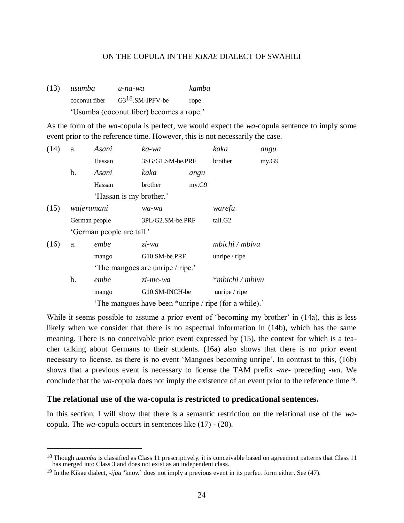(13) *usumba u-na-wa kamba* coconut fiber  $G3^{18}$ . SM-IPFV-be rope 'Usumba (coconut fiber) becomes a rope.'

As the form of the *wa*-copula is perfect, we would expect the *wa*-copula sentence to imply some event prior to the reference time. However, this is not necessarily the case.

| (14) | a.            | Asani                                                 | ka-wa                           |       | kaka            | angu  |  |
|------|---------------|-------------------------------------------------------|---------------------------------|-------|-----------------|-------|--|
|      |               | Hassan                                                | 3SG/G1.SM-be.PRF                |       | brother         | my.G9 |  |
|      | b.            | Asani                                                 | kaka                            | angu  |                 |       |  |
|      |               | Hassan                                                | brother                         | my.G9 |                 |       |  |
|      |               | 'Hassan is my brother.'                               |                                 |       |                 |       |  |
| (15) | wajerumani    |                                                       | wa-wa                           |       | warefu          |       |  |
|      | German people |                                                       | 3PL/G2.SM-be.PRF                |       | tall.G2         |       |  |
|      |               | 'German people are tall.'                             |                                 |       |                 |       |  |
| (16) | a.            | embe                                                  | zi-wa                           |       | mbichi / mbivu  |       |  |
|      |               | mango                                                 | G10.SM-be.PRF                   |       | unripe $/$ ripe |       |  |
|      |               |                                                       | The mangoes are unripe / ripe.' |       |                 |       |  |
|      | b.            | embe                                                  | zi-me-wa                        |       | *mbichi / mbivu |       |  |
|      |               | mango                                                 | G10.SM-INCH-be                  |       | unripe $/$ ripe |       |  |
|      |               | 'The mangoes have been *unripe / ripe (for a while).' |                                 |       |                 |       |  |

While it seems possible to assume a prior event of 'becoming my brother' in (14a), this is less likely when we consider that there is no aspectual information in (14b), which has the same meaning. There is no conceivable prior event expressed by (15), the context for which is a teacher talking about Germans to their students. (16a) also shows that there is no prior event necessary to license, as there is no event 'Mangoes becoming unripe'. In contrast to this, (16b) shows that a previous event is necessary to license the TAM prefix -*me*- preceding -*wa*. We conclude that the *wa*-copula does not imply the existence of an event prior to the reference time<sup>19</sup>.

## **The relational use of the wa-copula is restricted to predicational sentences.**

In this section, I will show that there is a semantic restriction on the relational use of the *wa*copula. The *wa*-copula occurs in sentences like (17) - (20).

 $\overline{a}$ 

<sup>&</sup>lt;sup>18</sup> Though *usumba* is classified as Class 11 prescriptively, it is conceivable based on agreement patterns that Class 11 has merged into Class 3 and does not exist as an independent class.

<sup>19</sup> In the Kikae dialect, *-ijua* 'know' does not imply a previous event in its perfect form either. See (47).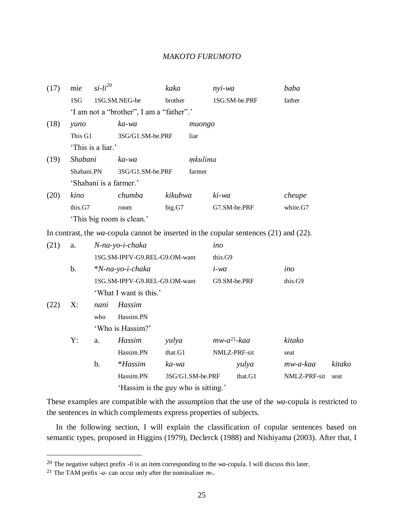| (17) | mie                       | $si-li20$                                | kaka    | nyi-wa        | baba     |  |  |
|------|---------------------------|------------------------------------------|---------|---------------|----------|--|--|
|      | 1S <sub>G</sub>           | 1SG.SM.NEG-be                            | brother | 1SG.SM-be.PRF | father   |  |  |
|      |                           | 'I am not a "brother", I am a "father".' |         |               |          |  |  |
| (18) | yuno                      | ka-wa                                    |         | muongo        |          |  |  |
|      | This G1                   | 3SG/G1.SM-be.PRF                         |         | liar          |          |  |  |
|      |                           | 'This is a liar.'                        |         |               |          |  |  |
| (19) | Shabani                   | ka-wa                                    |         | mkulima       |          |  |  |
|      | Shabani.PN                | 3SG/G1.SM-be.PRF                         |         | farmer        |          |  |  |
|      |                           | 'Shabani is a farmer.'                   |         |               |          |  |  |
| (20) | kino                      | chumba                                   | kikubwa | ki-wa         | cheupe   |  |  |
|      | this.G7                   | room                                     | big.G7  | G7.SM-be.PRF  | white.G7 |  |  |
|      | 'This big room is clean.' |                                          |         |               |          |  |  |

In contrast, the *wa*-copula cannot be inserted in the copular sentences (21) and (22).

| (21) | a. |      | N-na-yo-i-chaka               |                                     |         | ino              |                     |        |  |
|------|----|------|-------------------------------|-------------------------------------|---------|------------------|---------------------|--------|--|
|      |    |      | 1SG.SM-IPFV-G9.REL-G9.OM-want |                                     |         | this.G9          |                     |        |  |
|      | b. |      | $*N$ -na-yo-i-chaka           |                                     | $i$ -wa |                  | ino                 |        |  |
|      |    |      | 1SG.SM-IPFV-G9.REL-G9.OM-want |                                     |         | G9.SM-be.PRF     | this. <sub>G9</sub> |        |  |
|      |    |      | 'What I want is this.'        |                                     |         |                  |                     |        |  |
| (22) | X: | nani | Hassim                        |                                     |         |                  |                     |        |  |
|      |    | who  | Hassim.PN                     |                                     |         |                  |                     |        |  |
|      |    |      | 'Who is Hassim?'              |                                     |         |                  |                     |        |  |
|      | Y: | a.   | Hassim                        | yulya                               |         | $mw-a^{21}$ -kaa | kitako              |        |  |
|      |    |      | Hassim.PN                     | that.G1                             |         | NMLZ-PRF-sit     | seat                |        |  |
|      |    | b.   | $*Hassim$                     | ka-wa                               |         | yulya            | mw-a-kaa            | kitako |  |
|      |    |      | Hassim.PN                     | 3SG/G1.SM-be.PRF                    |         | that.G1          | NMLZ-PRF-sit        | seat   |  |
|      |    |      |                               | 'Hassim is the guy who is sitting.' |         |                  |                     |        |  |
|      |    |      |                               |                                     |         |                  |                     |        |  |

These examples are compatible with the assumption that the use of the *wa*-copula is restricted to the sentences in which complements express properties of subjects.

In the following section, I will explain the classification of copular sentences based on semantic types, proposed in Higgins (1979), Declerck (1988) and Nishiyama (2003). After that, I

 $\overline{a}$ 

<sup>20</sup> The negative subject prefix *-li* is an item corresponding to the *wa-*copula. I will discuss this later.

<sup>21</sup> The TAM prefix *-a-* can occur only after the nominalizer *m-.*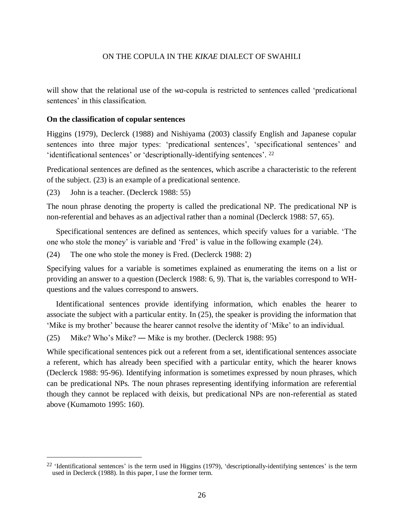will show that the relational use of the *wa*-copula is restricted to sentences called 'predicational sentences' in this classification.

#### **On the classification of copular sentences**

Higgins (1979), Declerck (1988) and Nishiyama (2003) classify English and Japanese copular sentences into three major types: 'predicational sentences', 'specificational sentences' and 'identificational sentences' or 'descriptionally-identifying sentences'.<sup>22</sup>

Predicational sentences are defined as the sentences, which ascribe a characteristic to the referent of the subject. (23) is an example of a predicational sentence.

(23) John is a teacher. (Declerck 1988: 55)

 $\overline{a}$ 

The noun phrase denoting the property is called the predicational NP. The predicational NP is non-referential and behaves as an adjectival rather than a nominal (Declerck 1988: 57, 65).

Specificational sentences are defined as sentences, which specify values for a variable. 'The one who stole the money' is variable and 'Fred' is value in the following example (24).

(24) The one who stole the money is Fred. (Declerck 1988: 2)

Specifying values for a variable is sometimes explained as enumerating the items on a list or providing an answer to a question (Declerck 1988: 6, 9). That is, the variables correspond to WHquestions and the values correspond to answers.

Identificational sentences provide identifying information, which enables the hearer to associate the subject with a particular entity. In (25), the speaker is providing the information that 'Mike is my brother' because the hearer cannot resolve the identity of 'Mike' to an individual.

(25) Mike? Who's Mike? ― Mike is my brother. (Declerck 1988: 95)

While specificational sentences pick out a referent from a set, identificational sentences associate a referent, which has already been specified with a particular entity, which the hearer knows (Declerck 1988: 95-96). Identifying information is sometimes expressed by noun phrases, which can be predicational NPs. The noun phrases representing identifying information are referential though they cannot be replaced with deixis, but predicational NPs are non-referential as stated above (Kumamoto 1995: 160).

<sup>&</sup>lt;sup>22</sup> 'Identificational sentences' is the term used in Higgins (1979), 'descriptionally-identifying sentences' is the term used in Declerck (1988). In this paper, I use the former term.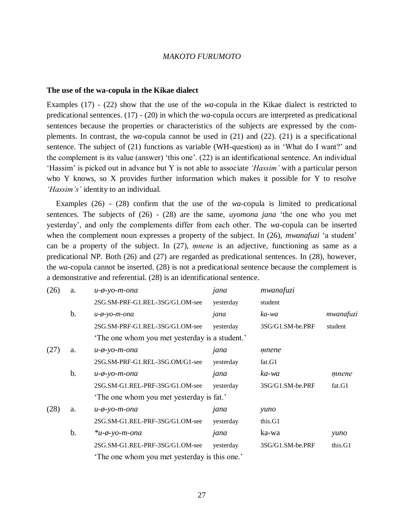#### **The use of the wa-copula in the Kikae dialect**

Examples (17) - (22) show that the use of the *wa*-copula in the Kikae dialect is restricted to predicational sentences. (17) - (20) in which the *wa*-copula occurs are interpreted as predicational sentences because the properties or characteristics of the subjects are expressed by the complements. In contrast, the *wa*-copula cannot be used in (21) and (22). (21) is a specificational sentence. The subject of (21) functions as variable (WH-question) as in 'What do I want?' and the complement is its value (answer) 'this one'. (22) is an identificational sentence. An individual 'Hassim' is picked out in advance but Y is not able to associate *'Hassim'* with a particular person who Y knows, so X provides further information which makes it possible for Y to resolve *'Hassim's'* identity to an individual.

Examples (26) - (28) confirm that the use of the *wa*-copula is limited to predicational sentences. The subjects of (26) - (28) are the same, *uyomona jana* 'the one who you met yesterday', and only the complements differ from each other. The *wa*-copula can be inserted when the complement noun expresses a property of the subject. In (26), *mwanafuzi* 'a student' can be a property of the subject. In (27), *mnene* is an adjective, functioning as same as a predicational NP. Both (26) and (27) are regarded as predicational sentences. In (28), however, the *wa*-copula cannot be inserted. (28) is not a predicational sentence because the complement is a demonstrative and referential. (28) is an identificational sentence.

| (26) | a.    | $u$ - $\phi$ -yo-m-ona                       | jana      | mwanafuzi        |           |
|------|-------|----------------------------------------------|-----------|------------------|-----------|
|      |       | 2SG.SM-PRF-G1.REL-3SG/G1.OM-see              | yesterday | student          |           |
|      | b.    | $u$ - $\phi$ -yo-m-ona                       | jana      | ka-wa            | mwanafuzi |
|      |       | 2SG.SM-PRF-G1.REL-3SG/G1.OM-see              | yesterday | 3SG/G1.SM-be.PRF | student   |
|      |       | The one whom you met yesterday is a student. |           |                  |           |
| (27) | a.    | $u$ - $\phi$ -yo-m-ona                       | jana      | mnene            |           |
|      |       | 2SG.SM-PRF-G1.REL-3SG.OM/G1-see              | yesterday | fat.G1           |           |
|      | b.    | $u$ - $\phi$ -yo-m-ona                       | jana      | ka-wa            | mnene     |
|      |       | 2SG.SM-G1.REL-PRF-3SG/G1.OM-see              | yesterday | 3SG/G1.SM-be.PRF | fat.G1    |
|      |       | The one whom you met yesterday is fat.'      |           |                  |           |
| (28) | a.    | $u$ - $\phi$ -yo-m-ona                       | jana      | yuno             |           |
|      |       | 2SG.SM-G1.REL-PRF-3SG/G1.OM-see              | yesterday | this.G1          |           |
|      | $b$ . | $*u$ - $\phi$ -yo-m-ona                      | jana      | ka-wa            | yuno      |
|      |       | 2SG.SM-G1.REL-PRF-3SG/G1.OM-see              | yesterday | 3SG/G1.SM-be.PRF | this.G1   |
|      |       | The one whom you met yesterday is this one.  |           |                  |           |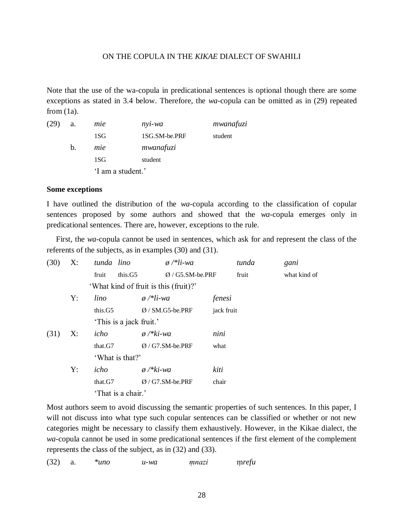Note that the use of the wa-copula in predicational sentences is optional though there are some exceptions as stated in 3.4 below. Therefore, the *wa*-copula can be omitted as in (29) repeated from  $(1a)$ .

| (29) | a. | mie               | nyi-wa        | mwanafuzi |
|------|----|-------------------|---------------|-----------|
|      |    | 1SG               | 1SG.SM-be.PRF | student   |
|      | b. | mie               | mwanafuzi     |           |
|      |    | 1SG               | student       |           |
|      |    | 'I am a student.' |               |           |

## **Some exceptions**

I have outlined the distribution of the *wa*-copula according to the classification of copular sentences proposed by some authors and showed that the *wa*-copula emerges only in predicational sentences. There are, however, exceptions to the rule.

First, the *wa*-copula cannot be used in sentences, which ask for and represent the class of the referents of the subjects, as in examples (30) and (31).

| (30) | X: | tunda lino              | $\phi$ /*li-wa                        | tunda      | gani         |
|------|----|-------------------------|---------------------------------------|------------|--------------|
|      |    | this.G5<br>fruit        | $Ø/G5.SM-be.PRF$                      | fruit      | what kind of |
|      |    |                         | 'What kind of fruit is this (fruit)?' |            |              |
|      | Y: | lino                    | $\phi$ /*li-wa                        | fenesi     |              |
|      |    | this.G5                 | $Ø/SM.G5-be.PRF$                      | jack fruit |              |
|      |    | 'This is a jack fruit.' |                                       |            |              |
| (31) | X: | icho                    | $\phi$ /* $ki$ -wa                    | nini       |              |
|      |    | that.G7                 | $Ø/G7.SM-be.PRF$                      | what       |              |
|      |    | 'What is that?'         |                                       |            |              |
|      | Y: | icho                    | $\phi$ /* $ki$ -wa                    | kiti       |              |
|      |    | that.G7                 | $Ø/G7.SM-be.PRF$                      | chair      |              |
|      |    | 'That is a chair.'      |                                       |            |              |

Most authors seem to avoid discussing the semantic properties of such sentences. In this paper, I will not discuss into what type such copular sentences can be classified or whether or not new categories might be necessary to classify them exhaustively. However, in the Kikae dialect, the *wa*-copula cannot be used in some predicational sentences if the first element of the complement represents the class of the subject, as in (32) and (33).

(32) a. *\*uno u-wa m̩ nazi* m̩ *refu*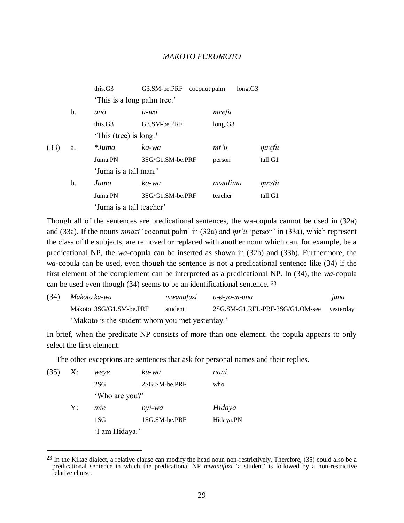|      |    | this.G3                     | G3.SM-be.PRF     | coconut palm | long.G3 |
|------|----|-----------------------------|------------------|--------------|---------|
|      |    | 'This is a long palm tree.' |                  |              |         |
|      | b. | uno                         | u-wa             | mrefu        |         |
|      |    | this. $G3$                  | G3.SM-be.PRF     | long.G3      |         |
|      |    | 'This (tree) is long.'      |                  |              |         |
| (33) | a. | $*Juma$                     | ka-wa            | m t' u       | mrefu   |
|      |    | Juma <sub>.PN</sub>         | 3SG/G1.SM-be.PRF | person       | tall.G1 |
|      |    | 'Juma is a tall man.'       |                  |              |         |
|      | b. | Juma                        | ka-wa            | mwalimu      | mrefu   |
|      |    | Juma.PN                     | 3SG/G1.SM-be.PRF | teacher      | tall.G1 |
|      |    | 'Juma is a tall teacher'    |                  |              |         |

Though all of the sentences are predicational sentences, the wa-copula cannot be used in (32a) and (33a). If the nouns *mnazi* 'coconut palm' in (32a) and *mt'u* 'person' in (33a), which represent the class of the subjects, are removed or replaced with another noun which can, for example, be a predicational NP, the *wa*-copula can be inserted as shown in (32b) and (33b). Furthermore, the *wa*-copula can be used, even though the sentence is not a predicational sentence like (34) if the first element of the complement can be interpreted as a predicational NP. In (34), the *wa*-copula can be used even though (34) seems to be an identificational sentence. <sup>23</sup>

| (34) | Makoto ka-wa                                    |         | $mwanafuzi$ $u$ - $\phi$ -yo-m-ona        | jana |  |  |  |
|------|-------------------------------------------------|---------|-------------------------------------------|------|--|--|--|
|      | Makoto 3SG/G1.SM-be.PRF                         | student | 2SG.SM-G1.REL-PRF-3SG/G1.OM-see vesterday |      |  |  |  |
|      | 'Makoto is the student whom you met yesterday.' |         |                                           |      |  |  |  |

In brief, when the predicate NP consists of more than one element, the copula appears to only select the first element.

The other exceptions are sentences that ask for personal names and their replies.

| (35) | X: | weye           | ku-wa          | nani      |  |  |
|------|----|----------------|----------------|-----------|--|--|
|      |    | 2SG            | 2SG.SM-be.PRF  | who       |  |  |
|      |    |                | 'Who are you?' |           |  |  |
|      | Y: | mie            | nyi-wa         | Hidaya    |  |  |
|      |    | 1SG            | 1SG.SM-be.PRF  | Hidaya.PN |  |  |
|      |    | 'I am Hidaya.' |                |           |  |  |

 $\overline{a}$ 

 $^{23}$  In the Kikae dialect, a relative clause can modify the head noun non-restrictively. Therefore,  $(35)$  could also be a predicational sentence in which the predicational NP *mwanafuzi* 'a student' is followed by a non-restrictive relative clause.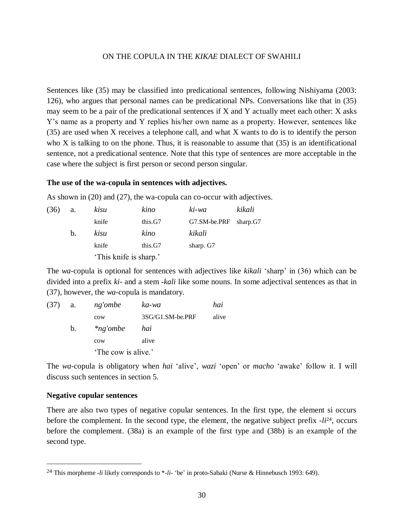Sentences like (35) may be classified into predicational sentences, following Nishiyama (2003: 126), who argues that personal names can be predicational NPs. Conversations like that in (35) may seem to be a pair of the predicational sentences if X and Y actually meet each other: X asks Y's name as a property and Y replies his/her own name as a property. However, sentences like (35) are used when X receives a telephone call, and what X wants to do is to identify the person who X is talking to on the phone. Thus, it is reasonable to assume that  $(35)$  is an identificational sentence, not a predicational sentence. Note that this type of sentences are more acceptable in the case where the subject is first person or second person singular.

#### **The use of the wa-copula in sentences with adjectives.**

As shown in (20) and (27), the wa-copula can co-occur with adjectives.

| (36) | a.          | kisu                   | kino    | ki-wa        | kikali   |
|------|-------------|------------------------|---------|--------------|----------|
|      |             | knife                  | this.G7 | G7.SM-be.PRF | sharp.G7 |
|      | $b_{\cdot}$ | kisu                   | kino    | kikali       |          |
|      |             | knife                  | this.G7 | sharp. G7    |          |
|      |             | 'This knife is sharp.' |         |              |          |

The *wa*-copula is optional for sentences with adjectives like *kikali* 'sharp' in (36) which can be divided into a prefix *ki*- and a stem -*kali* like some nouns. In some adjectival sentences as that in (37), however, the *wa*-copula is mandatory.

| (37) | a.          | ng'ombe             | ka-wa            | hai   |  |
|------|-------------|---------------------|------------------|-------|--|
|      |             | cow                 | 3SG/G1.SM-be.PRF | alive |  |
|      | $b_{\cdot}$ | $*$ ng'ombe         | hai              |       |  |
|      |             | cow                 | alive            |       |  |
|      |             | 'The cow is alive.' |                  |       |  |

The *wa*-copula is obligatory when *hai* 'alive', *wazi* 'open' or *macho* 'awake' follow it. I will discuss such sentences in section 5.

#### **Negative copular sentences**

 $\overline{a}$ 

There are also two types of negative copular sentences. In the first type, the element si occurs before the complement. In the second type, the element, the negative subject prefix *-li*24, occurs before the complement. (38a) is an example of the first type and (38b) is an example of the second type.

<sup>24</sup> This morpheme *-li* likely corresponds to \**-li-* 'be' in proto-Sabaki (Nurse & Hinnebusch 1993: 649).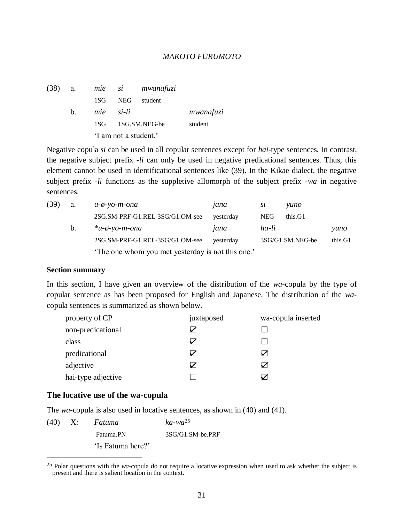| $(38)$ a. |             |           |                       | mie si mwanafuzi  |           |
|-----------|-------------|-----------|-----------------------|-------------------|-----------|
|           |             | 1SG       | NEG                   | student           |           |
|           | $h_{\cdot}$ | mie si-li |                       |                   | mwanafuzi |
|           |             |           |                       | 1SG 1SG.SM.NEG-be | student   |
|           |             |           | 'I am not a student.' |                   |           |

Negative copula *si* can be used in all copular sentences except for *hai*-type sentences. In contrast, the negative subject prefix -*li* can only be used in negative predicational sentences. Thus, this element cannot be used in identificational sentences like (39). In the Kikae dialect, the negative subject prefix -*li* functions as the suppletive allomorph of the subject prefix -*wa* in negative sentences.

| (39) | a. | и-ф-уо-т-опа                                     | jana      | sı    | vuno             |         |  |
|------|----|--------------------------------------------------|-----------|-------|------------------|---------|--|
|      |    | 2SG.SM-PRF-G1.REL-3SG/G1.OM-see                  | yesterday | NEG.  | this.G1          |         |  |
|      | b. | $*u$ - $\phi$ -yo-m-ona                          | jana      | ha-li |                  | yuno    |  |
|      |    | 2SG.SM-PRF-G1.REL-3SG/G1.OM-see                  | yesterday |       | 3SG/G1.SM.NEG-be | this.G1 |  |
|      |    | The one whom you met yesterday is not this one.' |           |       |                  |         |  |

#### **Section summary**

In this section, I have given an overview of the distribution of the *wa*-copula by the type of copular sentence as has been proposed for English and Japanese. The distribution of the *wa*copula sentences is summarized as shown below.

| property of CP     | juxtaposed | wa-copula inserted |
|--------------------|------------|--------------------|
| non-predicational  |            |                    |
| class              |            |                    |
| predicational      |            | ✓                  |
| adjective          |            | ✓                  |
| hai-type adjective |            |                    |

# **The locative use of the wa-copula**

The *wa*-copula is also used in locative sentences, as shown in (40) and (41).

|  | $(40)$ X: Fatuma  | $ka$ -wa <sup>25</sup> |
|--|-------------------|------------------------|
|  | Fatuma.PN         | 3SG/G1.SM-be.PRF       |
|  | 'Is Fatuma here?' |                        |
|  |                   |                        |

<sup>25</sup> Polar questions with the *wa*-copula do not require a locative expression when used to ask whether the subject is present and there is salient location in the context.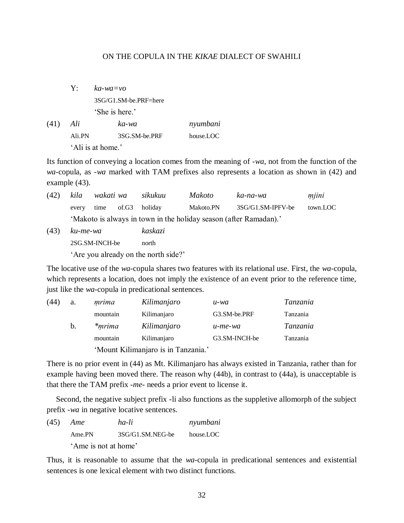Y: *ka-wa=vo* 3SG/G1.SM-be.PRF=here 'She is here.'

(41) *Ali ka-wa nyumbani* Ali.PN 3SG.SM-be.PRF house.LOC 'Ali is at home.'

Its function of conveying a location comes from the meaning of -*wa*, not from the function of the *wa*-copula, as -*wa* marked with TAM prefixes also represents a location as shown in (42) and example (43).

| (42) | kila     | wakati wa      |       | sikukuu | <i>Makoto</i> | ka-na-wa                                                          | mjini    |
|------|----------|----------------|-------|---------|---------------|-------------------------------------------------------------------|----------|
|      | every    | time           | of.G3 | holiday | Makoto.PN     | 3SG/G1.SM-IPFV-be                                                 | town.LOC |
|      |          |                |       |         |               | 'Makoto is always in town in the holiday season (after Ramadan).' |          |
| (43) | ku-me-wa |                |       | kaskazi |               |                                                                   |          |
|      |          | 2SG.SM-INCH-be |       | north   |               |                                                                   |          |

'Are you already on the north side?'

The locative use of the *wa*-copula shares two features with its relational use. First, the *wa*-copula, which represents a location, does not imply the existence of an event prior to the reference time, just like the *wa*-copula in predicational sentences.

| (44) | a. | mrima                               | Kilimanjaro | u-wa          | Tanzania        |  |
|------|----|-------------------------------------|-------------|---------------|-----------------|--|
|      |    | mountain                            | Kilimanjaro | G3.SM-be.PRF  | Tanzania        |  |
|      | b. | <i>*mrima</i>                       | Kilimanjaro | u-me-wa       | <i>Tanzania</i> |  |
|      |    | mountain                            | Kilimanjaro | G3.SM-INCH-be | Tanzania        |  |
|      |    | 'Mount Kilimanjaro is in Tanzania.' |             |               |                 |  |

There is no prior event in (44) as Mt. Kilimanjaro has always existed in Tanzania, rather than for example having been moved there. The reason why (44b), in contrast to (44a), is unacceptable is that there the TAM prefix -*me*- needs a prior event to license it.

Second, the negative subject prefix -li also functions as the suppletive allomorph of the subject prefix -*wa* in negative locative sentences.

(45) *Ame ha-li nyumbani* Ame.PN 3SG/G1.SM.NEG-be house.LOC 'Ame is not at home'

Thus, it is reasonable to assume that the *wa*-copula in predicational sentences and existential sentences is one lexical element with two distinct functions.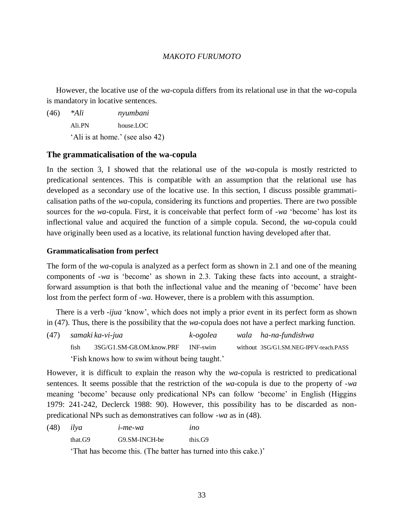However, the locative use of the *wa*-copula differs from its relational use in that the *wa*-copula is mandatory in locative sentences.

(46) *\*Ali nyumbani* Ali.PN house.LOC 'Ali is at home.' (see also 42)

## **The grammaticalisation of the wa-copula**

In the section 3, I showed that the relational use of the *wa*-copula is mostly restricted to predicational sentences. This is compatible with an assumption that the relational use has developed as a secondary use of the locative use. In this section, I discuss possible grammaticalisation paths of the *wa*-copula, considering its functions and properties. There are two possible sources for the *wa*-copula. First, it is conceivable that perfect form of -*wa* 'become' has lost its inflectional value and acquired the function of a simple copula. Second, the *wa*-copula could have originally been used as a locative, its relational function having developed after that.

## **Grammaticalisation from perfect**

The form of the *wa*-copula is analyzed as a perfect form as shown in 2.1 and one of the meaning components of -*wa* is 'become' as shown in 2.3. Taking these facts into account, a straightforward assumption is that both the inflectional value and the meaning of 'become' have been lost from the perfect form of -*wa*. However, there is a problem with this assumption.

There is a verb -*ijua* 'know', which does not imply a prior event in its perfect form as shown in (47). Thus, there is the possibility that the *wa*-copula does not have a perfect marking function.

(47) *samaki ka-vi-jua k-ogolea wala ha-na-fundishwa* fish 3SG/G1.SM-G8.OM.know.PRF INF-swim without 3SG/G1.SM.NEG-IPFV-teach.PASS 'Fish knows how to swim without being taught.'

However, it is difficult to explain the reason why the *wa*-copula is restricted to predicational sentences. It seems possible that the restriction of the *wa*-copula is due to the property of -*wa* meaning 'become' because only predicational NPs can follow 'become' in English (Higgins 1979: 241-242, Declerck 1988: 90). However, this possibility has to be discarded as nonpredicational NPs such as demonstratives can follow -*wa* as in (48).

(48) *ilya i-me-wa ino* that.G9 G9.SM-INCH-be this.G9

'That has become this. (The batter has turned into this cake.)'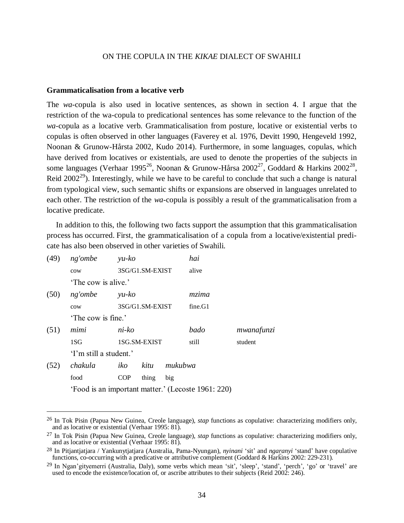#### **Grammaticalisation from a locative verb**

The *wa*-copula is also used in locative sentences, as shown in section 4. I argue that the restriction of the wa-copula to predicational sentences has some relevance to the function of the *wa*-copula as a locative verb. Grammaticalisation from posture, locative or existential verbs to copulas is often observed in other languages (Faverey et al. 1976, Devitt 1990, Hengeveld 1992, Noonan & Grunow-Hårsta 2002, Kudo 2014). Furthermore, in some languages, copulas, which have derived from locatives or existentials, are used to denote the properties of the subjects in some languages (Verhaar 1995<sup>26</sup>, Noonan & Grunow-Hårsa 2002<sup>27</sup>, Goddard & Harkins 2002<sup>28</sup>, Reid 2002<sup>29</sup>). Interestingly, while we have to be careful to conclude that such a change is natural from typological view, such semantic shifts or expansions are observed in languages unrelated to each other. The restriction of the *wa*-copula is possibly a result of the grammaticalisation from a locative predicate.

In addition to this, the following two facts support the assumption that this grammaticalisation process has occurred. First, the grammaticalisation of a copula from a locative/existential predicate has also been observed in other varieties of Swahili.

| (49) | ng'ombe                                            | $yu-ko$    |                 |         | hai     |            |
|------|----------------------------------------------------|------------|-----------------|---------|---------|------------|
|      | cow                                                |            | 3SG/G1.SM-EXIST |         | alive   |            |
|      | 'The cow is alive.'                                |            |                 |         |         |            |
| (50) | ng'ombe                                            | $yu-ko$    |                 |         | mzima   |            |
|      | cow                                                |            | 3SG/G1.SM-EXIST |         | fine.G1 |            |
|      | 'The cow is fine.'                                 |            |                 |         |         |            |
| (51) | mimi                                               | ni-ko      |                 |         | bado    | mwanafunzi |
|      | 1SG                                                |            | 1SG.SM-EXIST    |         | still   | student    |
|      | 'I'm still a student.'                             |            |                 |         |         |            |
| (52) | chakula                                            | iko        | kitu            | mukubwa |         |            |
|      | food                                               | <b>COP</b> | thing           | big     |         |            |
|      | 'Food is an important matter.' (Lecoste 1961: 220) |            |                 |         |         |            |

 $\overline{a}$ 

<sup>26</sup> In Tok Pisin (Papua New Guinea, Creole language), *stap* functions as copulative: characterizing modifiers only, and as locative or existential (Verhaar 1995: 81).

<sup>27</sup> In Tok Pisin (Papua New Guinea, Creole language), *stap* functions as copulative: characterizing modifiers only, and as locative or existential (Verhaar 1995: 81).

<sup>28</sup> In Pitjantjatjara / Yankunytjatjara (Australia, Pama-Nyungan), *nyinani* 'sit' and *ngaranyi* 'stand' have copulative functions, co-occurring with a predicative or attributive complement (Goddard & Harkins 2002: 229-231).

<sup>&</sup>lt;sup>29</sup> In Ngan'gityemerri (Australia, Daly), some verbs which mean 'sit', 'sleep', 'stand', 'perch', 'go' or 'travel' are used to encode the existence/location of, or ascribe attributes to their subjects (Reid 2002: 246).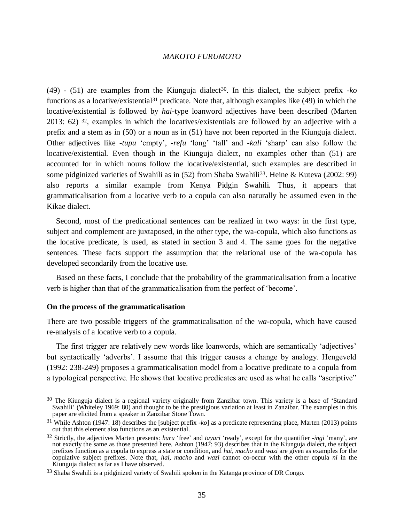$(49)$  -  $(51)$  are examples from the Kiunguja dialect<sup>30</sup>. In this dialect, the subject prefix -*ko* functions as a locative/existential<sup>31</sup> predicate. Note that, although examples like (49) in which the locative/existential is followed by *hai*-type loanword adjectives have been described (Marten 2013: 62)  $3^2$ , examples in which the locatives/existentials are followed by an adjective with a prefix and a stem as in (50) or a noun as in (51) have not been reported in the Kiunguja dialect. Other adjectives like -*tupu* 'empty', -*refu* 'long' 'tall' and -*kali* 'sharp' can also follow the locative/existential. Even though in the Kiunguja dialect, no examples other than (51) are accounted for in which nouns follow the locative/existential, such examples are described in some pidginized varieties of Swahili as in (52) from Shaba Swahili<sup>33</sup>. Heine & Kuteva (2002: 99) also reports a similar example from Kenya Pidgin Swahili. Thus, it appears that grammaticalisation from a locative verb to a copula can also naturally be assumed even in the Kikae dialect.

Second, most of the predicational sentences can be realized in two ways: in the first type, subject and complement are juxtaposed, in the other type, the wa-copula, which also functions as the locative predicate, is used, as stated in section 3 and 4. The same goes for the negative sentences. These facts support the assumption that the relational use of the wa-copula has developed secondarily from the locative use.

Based on these facts, I conclude that the probability of the grammaticalisation from a locative verb is higher than that of the grammaticalisation from the perfect of 'become'.

#### **On the process of the grammaticalisation**

 $\overline{a}$ 

There are two possible triggers of the grammaticalisation of the *wa*-copula, which have caused re-analysis of a locative verb to a copula.

The first trigger are relatively new words like loanwords, which are semantically 'adjectives' but syntactically 'adverbs'. I assume that this trigger causes a change by analogy. Hengeveld (1992: 238-249) proposes a grammaticalisation model from a locative predicate to a copula from a typological perspective. He shows that locative predicates are used as what he calls "ascriptive"

<sup>&</sup>lt;sup>30</sup> The Kiunguja dialect is a regional variety originally from Zanzibar town. This variety is a base of 'Standard Swahili' (Whiteley 1969: 80) and thought to be the prestigious variation at least in Zanzibar. The examples in this paper are elicited from a speaker in Zanzibar Stone Town.

<sup>31</sup> While Ashton (1947: 18) describes the [subject prefix *-ko*] as a predicate representing place, Marten (2013) points out that this element also functions as an existential.

<sup>32</sup> Strictly, the adjectives Marten presents: *huru* 'free' and *tayari* 'ready', except for the quantifier *-ingi* 'many', are not exactly the same as those presented here. Ashton (1947: 93) describes that in the Kiunguja dialect, the subject prefixes function as a copula to express a state or condition, and *hai*, *macho* and *wazi* are given as examples for the copulative subject prefixes. Note that, *hai*, *macho* and *wazi* cannot co-occur with the other copula *ni* in the Kiunguja dialect as far as I have observed.

<sup>&</sup>lt;sup>33</sup> Shaba Swahili is a pidginized variety of Swahili spoken in the Katanga province of DR Congo.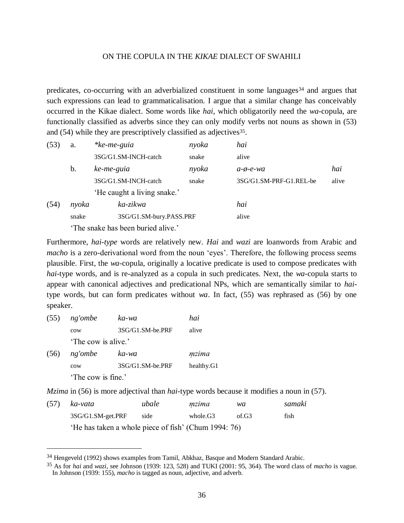predicates, co-occurring with an adverbialized constituent in some languages<sup>34</sup> and argues that such expressions can lead to grammaticalisation. I argue that a similar change has conceivably occurred in the Kikae dialect. Some words like *hai*, which obligatorily need the *wa*-copula, are functionally classified as adverbs since they can only modify verbs not nouns as shown in (53) and (54) while they are prescriptively classified as adjectives<sup>35</sup>.

| (53) | a.                                 | $*ke-me-guia$               | nyoka | hai                     |       |  |
|------|------------------------------------|-----------------------------|-------|-------------------------|-------|--|
|      |                                    | 3SG/G1.SM-INCH-catch        | snake | alive                   |       |  |
|      | b.                                 | ke-me-guia                  | nyoka | $a$ - $\phi$ - $e$ -wa  | hai   |  |
|      |                                    | 3SG/G1.SM-INCH-catch        | snake | 3SG/G1.SM-PRF-G1.REL-be | alive |  |
|      |                                    | 'He caught a living snake.' |       |                         |       |  |
| (54) | nyoka                              | ka-zikwa                    |       | hai                     |       |  |
|      | snake                              | 3SG/G1.SM-bury.PASS.PRF     |       | alive                   |       |  |
|      | 'The snake has been buried alive.' |                             |       |                         |       |  |

Furthermore, *hai-type* words are relatively new. *Hai* and *wazi* are loanwords from Arabic and *macho* is a zero-derivational word from the noun 'eyes'. Therefore, the following process seems plausible. First, the *wa*-copula, originally a locative predicate is used to compose predicates with *hai*-type words, and is re-analyzed as a copula in such predicates. Next, the *wa*-copula starts to appear with canonical adjectives and predicational NPs, which are semantically similar to *hai*type words, but can form predicates without *wa*. In fact, (55) was rephrased as (56) by one speaker.

(55) *ng'ombe ka-wa hai* cow 3SG/G1.SM-be.PRF alive 'The cow is alive.' (56) *ng'ombe ka-wa m̩ zima* cow 3SG/G1.SM-be.PRF healthy.G1

'The cow is fine.'

 $\overline{a}$ 

*Mzima* in (56) is more adjectival than *hai*-type words because it modifies a noun in (57).

|                                                      | (57) ka-vata      | ubale | mzima    | wa    | samaki |
|------------------------------------------------------|-------------------|-------|----------|-------|--------|
|                                                      | 3SG/G1.SM-get.PRF | side  | whole.G3 | of G3 | fish   |
| 'He has taken a whole piece of fish' (Chum 1994: 76) |                   |       |          |       |        |

<sup>34</sup> Hengeveld (1992) shows examples from Tamil, Abkhaz, Basque and Modern Standard Arabic.

<sup>35</sup> As for *hai* and *wazi*, see Johnson (1939: 123, 528) and TUKI (2001: 95, 364). The word class of *macho* is vague. In Johnson (1939: 155), *macho* is tagged as noun, adjective, and adverb.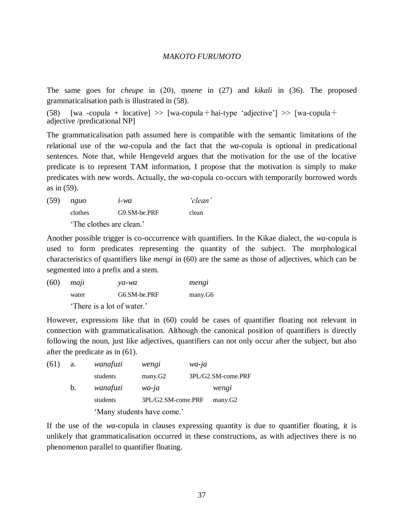The same goes for *cheupe* in (20), mone in (27) and *kikali* in (36). The proposed grammaticalisation path is illustrated in (58).

(58) [wa -copula + locative]  $\gg$  [wa-copula+hai-type 'adjective']  $\gg$  [wa-copula+ adjective /predicational NP]

The grammaticalisation path assumed here is compatible with the semantic limitations of the relational use of the *wa*-copula and the fact that the *wa*-copula is optional in predicational sentences. Note that, while Hengeveld argues that the motivation for the use of the locative predicate is to represent TAM information, I propose that the motivation is simply to make predicates with new words. Actually, the *wa*-copula co-occurs with temporarily borrowed words as in (59).

(59) *nguo i-wa 'clean'* clothes G9.SM-be.PRF clean 'The clothes are clean.'

Another possible trigger is co-occurrence with quantifiers. In the Kikae dialect, the *wa*-copula is used to form predicates representing the quantity of the subject. The morphological characteristics of quantifiers like *mengi* in (60) are the same as those of adjectives, which can be segmented into a prefix and a stem.

| (60) | maµ                        | ya-wa        | mengi   |
|------|----------------------------|--------------|---------|
|      | water                      | G6.SM-be.PRF | many.G6 |
|      | 'There is a lot of water.' |              |         |

However, expressions like that in (60) could be cases of quantifier floating not relevant in connection with grammaticalisation. Although the canonical position of quantifiers is directly following the noun, just like adjectives, quantifiers can not only occur after the subject, but also after the predicate as in (61).

| (61) | a. | wanafuzi                   | wengi               | wa-ja |                    |  |
|------|----|----------------------------|---------------------|-------|--------------------|--|
|      |    | students                   | many.G <sub>2</sub> |       | 3PL/G2.SM-come.PRF |  |
|      | b. | wanafuzi                   | $wa$ -ja            |       | wengi              |  |
|      |    | students                   | 3PL/G2.SM-come.PRF  |       | many.G2            |  |
|      |    | 'Many students have come.' |                     |       |                    |  |

If the use of the *wa*-copula in clauses expressing quantity is due to quantifier floating, it is unlikely that grammaticalisation occurred in these constructions, as with adjectives there is no phenomenon parallel to quantifier floating.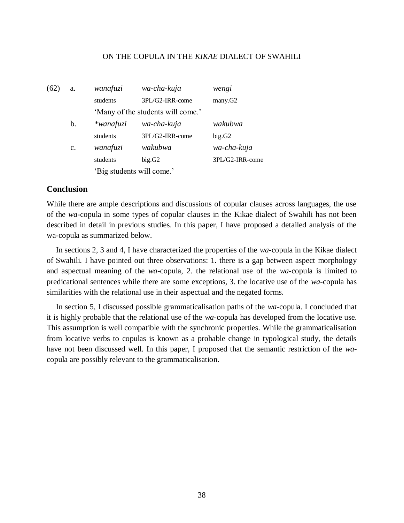| (62) | a.             | wanafuzi                          | wa-cha-kuja     | wengi           |
|------|----------------|-----------------------------------|-----------------|-----------------|
|      |                | students                          | 3PL/G2-IRR-come | many.G2         |
|      |                | 'Many of the students will come.' |                 |                 |
|      | b.             | $*$ wanafuzi                      | wa-cha-kuja     | wakubwa         |
|      |                | students                          | 3PL/G2-IRR-come | big.G2          |
|      | $\mathbf{c}$ . | wanafuzi                          | wakubwa         | wa-cha-kuja     |
|      |                | students                          | big.G2          | 3PL/G2-IRR-come |
|      |                | 'Big students will come.'         |                 |                 |

# **Conclusion**

While there are ample descriptions and discussions of copular clauses across languages, the use of the *wa*-copula in some types of copular clauses in the Kikae dialect of Swahili has not been described in detail in previous studies. In this paper, I have proposed a detailed analysis of the wa-copula as summarized below.

In sections 2, 3 and 4, I have characterized the properties of the *wa*-copula in the Kikae dialect of Swahili. I have pointed out three observations: 1. there is a gap between aspect morphology and aspectual meaning of the *wa*-copula, 2. the relational use of the *wa*-copula is limited to predicational sentences while there are some exceptions, 3. the locative use of the *wa*-copula has similarities with the relational use in their aspectual and the negated forms.

In section 5, I discussed possible grammaticalisation paths of the *wa*-copula. I concluded that it is highly probable that the relational use of the *wa*-copula has developed from the locative use. This assumption is well compatible with the synchronic properties. While the grammaticalisation from locative verbs to copulas is known as a probable change in typological study, the details have not been discussed well. In this paper, I proposed that the semantic restriction of the *wa*copula are possibly relevant to the grammaticalisation.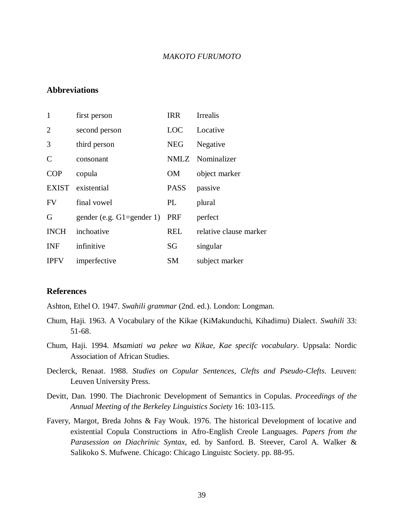## **Abbreviations**

| $\mathbf{1}$   | first person                  | <b>IRR</b>  | Irrealis               |
|----------------|-------------------------------|-------------|------------------------|
| $\overline{2}$ | second person                 | LOC         | Locative               |
| 3              | third person                  | <b>NEG</b>  | Negative               |
| $\mathcal{C}$  | consonant                     |             | NMLZ Nominalizer       |
| <b>COP</b>     | copula                        | <b>OM</b>   | object marker          |
| <b>EXIST</b>   | existential                   | <b>PASS</b> | passive                |
| <b>FV</b>      | final vowel                   | PL          | plural                 |
| G              | gender (e.g. $G1 =$ gender 1) | PRF         | perfect                |
| <b>INCH</b>    | inchoative                    | <b>REL</b>  | relative clause marker |
| <b>INF</b>     | infinitive                    | SG          | singular               |
| <b>IPFV</b>    | imperfective                  | <b>SM</b>   | subject marker         |

## **References**

Ashton, Ethel O. 1947. *Swahili grammar* (2nd. ed.). London: Longman.

- Chum, Haji. 1963. A Vocabulary of the Kikae (KiMakunduchi, Kihadimu) Dialect. *Swahili* 33: 51-68.
- Chum, Haji. 1994. *Msamiati wa pekee wa Kikae, Kae specifc vocabulary*. Uppsala: Nordic Association of African Studies.
- Declerck, Renaat. 1988. *Studies on Copular Sentences, Clefts and Pseudo-Clefts*. Leuven: Leuven University Press.
- Devitt, Dan. 1990. The Diachronic Development of Semantics in Copulas. *Proceedings of the Annual Meeting of the Berkeley Linguistics Society* 16: 103-115.
- Favery, Margot, Breda Johns & Fay Wouk. 1976. The historical Development of locative and existential Copula Constructions in Afro-English Creole Languages. *Papers from the Parasession on Diachrinic Syntax*, ed. by Sanford. B. Steever, Carol A. Walker & Salikoko S. Mufwene. Chicago: Chicago Linguistc Society. pp. 88-95.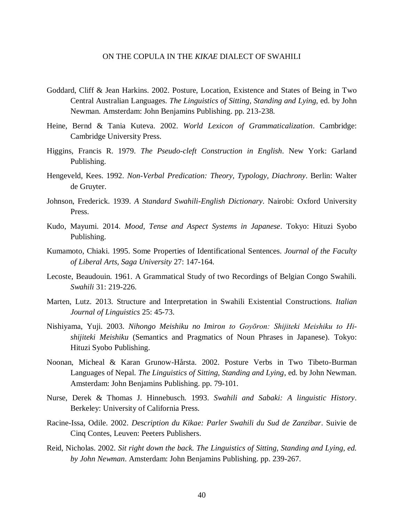- Goddard, Cliff & Jean Harkins. 2002. Posture, Location, Existence and States of Being in Two Central Australian Languages. *The Linguistics of Sitting, Standing and Lying*, ed. by John Newman. Amsterdam: John Benjamins Publishing. pp. 213-238.
- Heine, Bernd & Tania Kuteva. 2002. *World Lexicon of Grammaticalization*. Cambridge: Cambridge University Press.
- Higgins, Francis R. 1979. *The Pseudo-cleft Construction in English*. New York: Garland Publishing.
- Hengeveld, Kees. 1992. *Non-Verbal Predication: Theory, Typology, Diachrony*. Berlin: Walter de Gruyter.
- Johnson, Frederick. 1939. *A Standard Swahili-English Dictionary*. Nairobi: Oxford University Press.
- Kudo, Mayumi. 2014. *Mood, Tense and Aspect Systems in Japanese*. Tokyo: Hituzi Syobo Publishing.
- Kumamoto, Chiaki. 1995. Some Properties of Identificational Sentences. *Journal of the Faculty of Liberal Arts, Saga University* 27: 147-164.
- Lecoste, Beaudouin. 1961. A Grammatical Study of two Recordings of Belgian Congo Swahili. *Swahili* 31: 219-226.
- Marten, Lutz. 2013. Structure and Interpretation in Swahili Existential Constructions. *Italian Journal of Linguistics* 25: 45-73.
- Nishiyama, Yuji. 2003. *Nihongo Meishiku no Imiron to Goyōron: Shijiteki Meishiku to Hishijiteki Meishiku* (Semantics and Pragmatics of Noun Phrases in Japanese). Tokyo: Hituzi Syobo Publishing.
- Noonan, Micheal & Karan Grunow-Hårsta. 2002. Posture Verbs in Two Tibeto-Burman Languages of Nepal. *The Linguistics of Sitting, Standing and Lying*, ed. by John Newman. Amsterdam: John Benjamins Publishing. pp. 79-101.
- Nurse, Derek & Thomas J. Hinnebusch. 1993. *Swahili and Sabaki: A linguistic History*. Berkeley: University of California Press.
- Racine-Issa, Odile. 2002. *Description du Kikae: Parler Swahili du Sud de Zanzibar*. Suivie de Cinq Contes, Leuven: Peeters Publishers.
- Reid, Nicholas. 2002. *Sit right down the back. The Linguistics of Sitting, Standing and Lying, ed. by John Newman*. Amsterdam: John Benjamins Publishing. pp. 239-267.